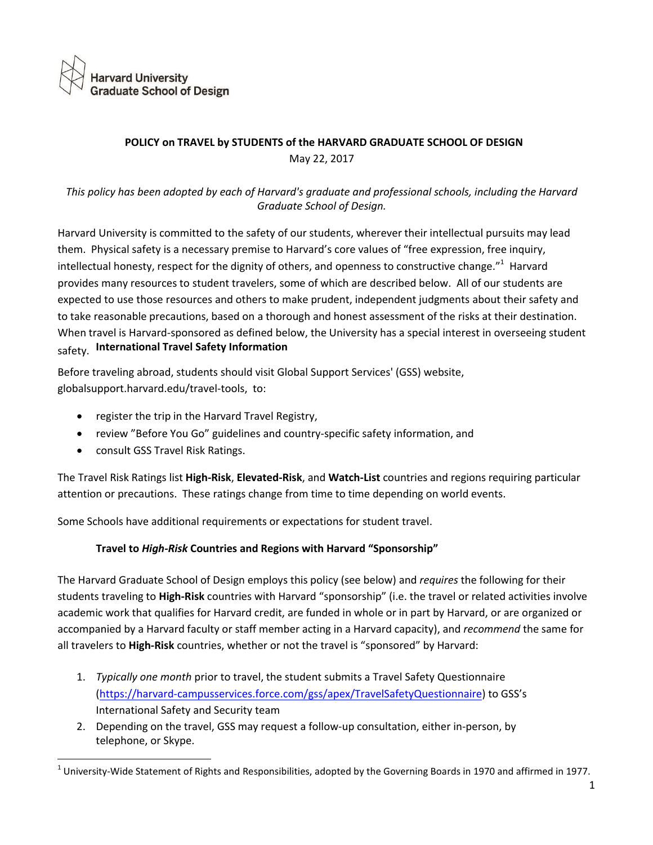

# **POLICY on TRAVEL by STUDENTS of the HARVARD GRADUATE SCHOOL OF DESIGN**  May 22, 2017

*This policy has been adopted by each of Harvard's graduate and professional schools, including the Harvard Graduate School of Design.* 

Harvard University is committed to the safety of our students, wherever their intellectual pursuits may lead them. Physical safety is a necessary premise to Harvard's core values of "free expression, free inquiry, intellectual honesty, respect for the dignity of others, and openness to constructive change."<sup>1</sup> Harvard provides many resources to student travelers, some of which are described below. All of our students are expected to use those resources and others to make prudent, independent judgments about their safety and to take reasonable precautions, based on a thorough and honest assessment of the risks at their destination. When travel is Harvard-sponsored as defined below, the University has a special interest in overseeing student safety. **International Travel Safety Information**

Before traveling abroad, students should visi[t Global Support Services' \(GSS\)](http://www.traveltools.harvard.edu/) website, globalsupport.harvard.edu/travel-tools, to:

- register the trip in the Harvard Travel Registry,
- review "Before You Go" guidelines and country-specific safety information, and
- consult GSS Travel Risk Ratings.

The Travel Risk Ratings list **High-Risk**, **Elevated-Risk**, and **Watch-List** countries and regions requiring particular attention or precautions. These ratings change from time to time depending on world events.

Some Schools have additional requirements or expectations for student travel.

## **Travel to** *High-Risk* **Countries and Regions with Harvard "Sponsorship"**

The Harvard Graduate School of Design employs this policy (see below) and *requires* the following for their students traveling to **High-Risk** countries with Harvard "sponsorship" (i.e. the travel or related activities involve academic work that qualifies for Harvard credit, are funded in whole or in part by Harvard, or are organized or accompanied by a Harvard faculty or staff member acting in a Harvard capacity), and *recommend* the same for all travelers to **High-Risk** countries, whether or not the travel is "sponsored" by Harvard:

- 1. *Typically one month* prior to travel, the student submits a Travel Safety Questionnaire ([https://harvard-campusservices.force.com/gss/apex/TravelSafetyQuestionn](http://globalsupport.harvard.edu/docs/questionnaire_graduate_travel.doc)aire) to GSS's International Safety and Security team
- 2. Depending on the travel, GSS may request a follow-up consultation, either in-person, by telephone, or Skype.

 $^1$  University-Wide Statement of Rights and Responsibilities, adopted by the Governing Boards in 1970 and affirmed in 1977.